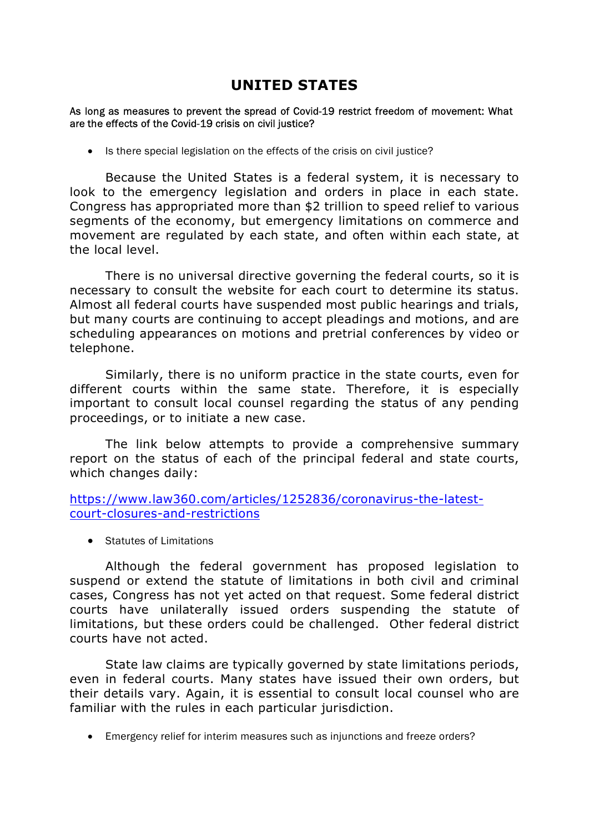# UNITED STATES

#### As long as measures to prevent the spread of Covid-19 restrict freedom of movement: What are the effects of the Covid-19 crisis on civil justice?

• Is there special legislation on the effects of the crisis on civil justice?

 Because the United States is a federal system, it is necessary to look to the emergency legislation and orders in place in each state. Congress has appropriated more than \$2 trillion to speed relief to various segments of the economy, but emergency limitations on commerce and movement are regulated by each state, and often within each state, at the local level.

 There is no universal directive governing the federal courts, so it is necessary to consult the website for each court to determine its status. Almost all federal courts have suspended most public hearings and trials, but many courts are continuing to accept pleadings and motions, and are scheduling appearances on motions and pretrial conferences by video or telephone.

 Similarly, there is no uniform practice in the state courts, even for different courts within the same state. Therefore, it is especially important to consult local counsel regarding the status of any pending proceedings, or to initiate a new case.

 The link below attempts to provide a comprehensive summary report on the status of each of the principal federal and state courts, which changes daily:

https://www.law360.com/articles/1252836/coronavirus-the-latestcourt-closures-and-restrictions

• Statutes of Limitations

 Although the federal government has proposed legislation to suspend or extend the statute of limitations in both civil and criminal cases, Congress has not yet acted on that request. Some federal district courts have unilaterally issued orders suspending the statute of limitations, but these orders could be challenged. Other federal district courts have not acted.

 State law claims are typically governed by state limitations periods, even in federal courts. Many states have issued their own orders, but their details vary. Again, it is essential to consult local counsel who are familiar with the rules in each particular jurisdiction.

Emergency relief for interim measures such as injunctions and freeze orders?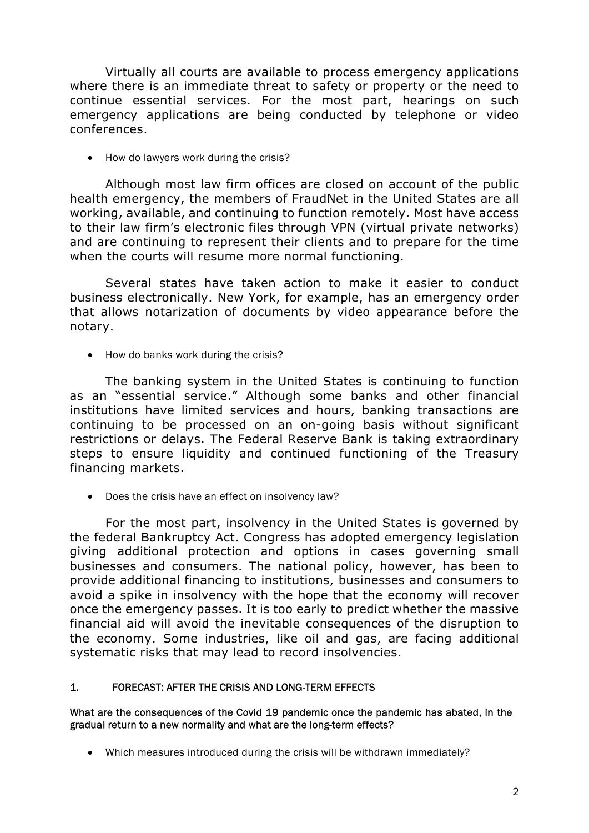Virtually all courts are available to process emergency applications where there is an immediate threat to safety or property or the need to continue essential services. For the most part, hearings on such emergency applications are being conducted by telephone or video conferences.

• How do lawyers work during the crisis?

 Although most law firm offices are closed on account of the public health emergency, the members of FraudNet in the United States are all working, available, and continuing to function remotely. Most have access to their law firm's electronic files through VPN (virtual private networks) and are continuing to represent their clients and to prepare for the time when the courts will resume more normal functioning.

 Several states have taken action to make it easier to conduct business electronically. New York, for example, has an emergency order that allows notarization of documents by video appearance before the notary.

• How do banks work during the crisis?

 The banking system in the United States is continuing to function as an "essential service." Although some banks and other financial institutions have limited services and hours, banking transactions are continuing to be processed on an on-going basis without significant restrictions or delays. The Federal Reserve Bank is taking extraordinary steps to ensure liquidity and continued functioning of the Treasury financing markets.

Does the crisis have an effect on insolvency law?

 For the most part, insolvency in the United States is governed by the federal Bankruptcy Act. Congress has adopted emergency legislation giving additional protection and options in cases governing small businesses and consumers. The national policy, however, has been to provide additional financing to institutions, businesses and consumers to avoid a spike in insolvency with the hope that the economy will recover once the emergency passes. It is too early to predict whether the massive financial aid will avoid the inevitable consequences of the disruption to the economy. Some industries, like oil and gas, are facing additional systematic risks that may lead to record insolvencies.

### 1. FORECAST: AFTER THE CRISIS AND LONG-TERM EFFECTS

#### What are the consequences of the Covid 19 pandemic once the pandemic has abated, in the gradual return to a new normality and what are the long-term effects?

Which measures introduced during the crisis will be withdrawn immediately?